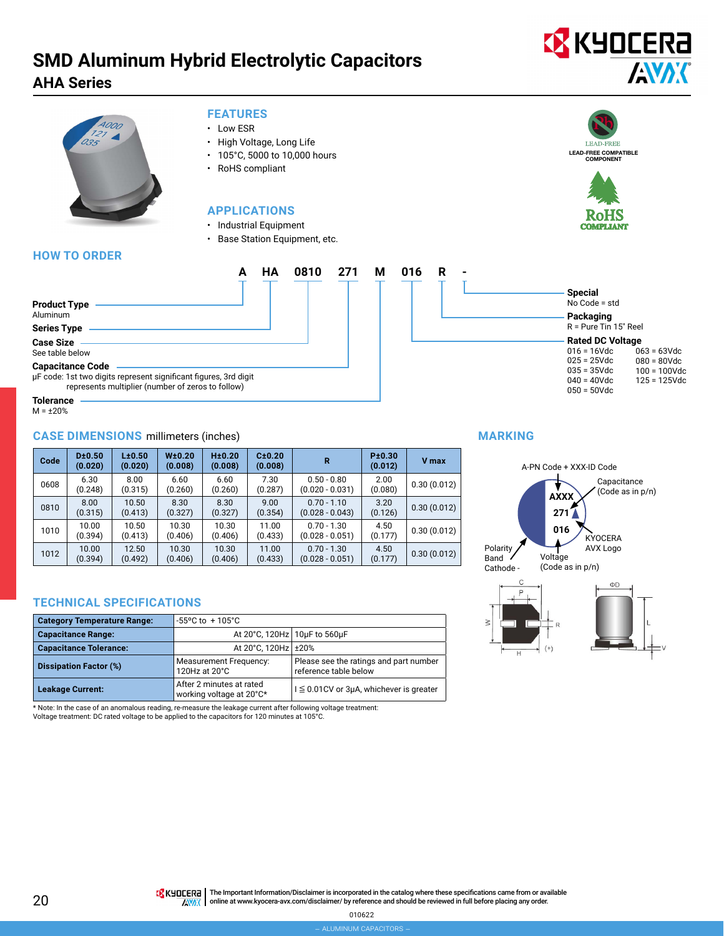# **EX KYOCERA AVAK**



#### **FEATURES**

- Low ESR
- High Voltage, Long Life
- 105°C, 5000 to 10,000 hours
- RoHS compliant

### **APPLICATIONS**



## • Industrial Equipment • Base Station Equipment, etc. **A HA 0810 271 M 016 R -**



**Special** No Code = std **Packaging** R = Pure Tin 15" Reel **Rated DC Voltage** 016 = 16Vdc 025 = 25Vdc 035 = 35Vdc 040 = 40Vdc 050 = 50Vdc

 $063 = 63$ Vdc 080 = 80Vdc 100 = 100Vdc 125 = 125Vdc

| <b>Product Type</b><br>Aluminum                                                             |  |  |  |
|---------------------------------------------------------------------------------------------|--|--|--|
|                                                                                             |  |  |  |
| <b>Series Type</b>                                                                          |  |  |  |
| <b>Case Size</b><br>See table below                                                         |  |  |  |
| <b>Capacitance Code</b><br>µF code: 1st two digits represent significant figures, 3rd digit |  |  |  |

represents multiplier (number of zeros to follow)

**Tolerance** M = ±20%

#### **CASE DIMENSIONS** millimeters (inches)

| Code | D±0.50<br>(0.020) | L±0.50<br>(0.020) | W±0.20<br>(0.008) | H±0.20<br>(0.008) | C±0.20<br>(0.008) | R                                  | P±0.30<br>(0.012) | V max       |
|------|-------------------|-------------------|-------------------|-------------------|-------------------|------------------------------------|-------------------|-------------|
| 0608 | 6.30<br>(0.248)   | 8.00<br>(0.315)   | 6.60<br>(0.260)   | 6.60<br>(0.260)   | 7.30<br>(0.287)   | $0.50 - 0.80$<br>$(0.020 - 0.031)$ | 2.00<br>(0.080)   | 0.30(0.012) |
| 0810 | 8.00<br>(0.315)   | 10.50<br>(0.413)  | 8.30<br>(0.327)   | 8.30<br>(0.327)   | 9.00<br>(0.354)   | $0.70 - 1.10$<br>$(0.028 - 0.043)$ | 3.20<br>(0.126)   | 0.30(0.012) |
| 1010 | 10.00<br>(0.394)  | 10.50<br>(0.413)  | 10.30<br>(0.406)  | 10.30<br>(0.406)  | 11.00<br>(0.433)  | $0.70 - 1.30$<br>$(0.028 - 0.051)$ | 4.50<br>(0.177)   | 0.30(0.012) |
| 1012 | 10.00<br>(0.394)  | 12.50<br>(0.492)  | 10.30<br>(0.406)  | 10.30<br>(0.406)  | 11.00<br>(0.433)  | $0.70 - 1.30$<br>$(0.028 - 0.051)$ | 4.50<br>(0.177)   | 0.30(0.012) |

#### **TECHNICAL SPECIFICATIONS**

| <b>Category Temperature Range:</b> | $-55^{\circ}$ C to $+105^{\circ}$ C                  |                                                                 |  |  |  |
|------------------------------------|------------------------------------------------------|-----------------------------------------------------------------|--|--|--|
| <b>Capacitance Range:</b>          | At 20°C, 120Hz 10uF to 560uF                         |                                                                 |  |  |  |
| <b>Capacitance Tolerance:</b>      | At 20°C, 120Hz ± 20%                                 |                                                                 |  |  |  |
| <b>Dissipation Factor (%)</b>      | <b>Measurement Frequency:</b><br>120Hz at 20°C       | Please see the ratings and part number<br>reference table below |  |  |  |
| <b>Leakage Current:</b>            | After 2 minutes at rated<br>working voltage at 20°C* | $I \leq 0.01$ CV or 3µA, whichever is greater                   |  |  |  |

\* Note: In the case of an anomalous reading, re-measure the leakage current after following voltage treatment: Voltage treatment: DC rated voltage to be applied to the capacitors for 120 minutes at 105°C.

#### **MARKING**

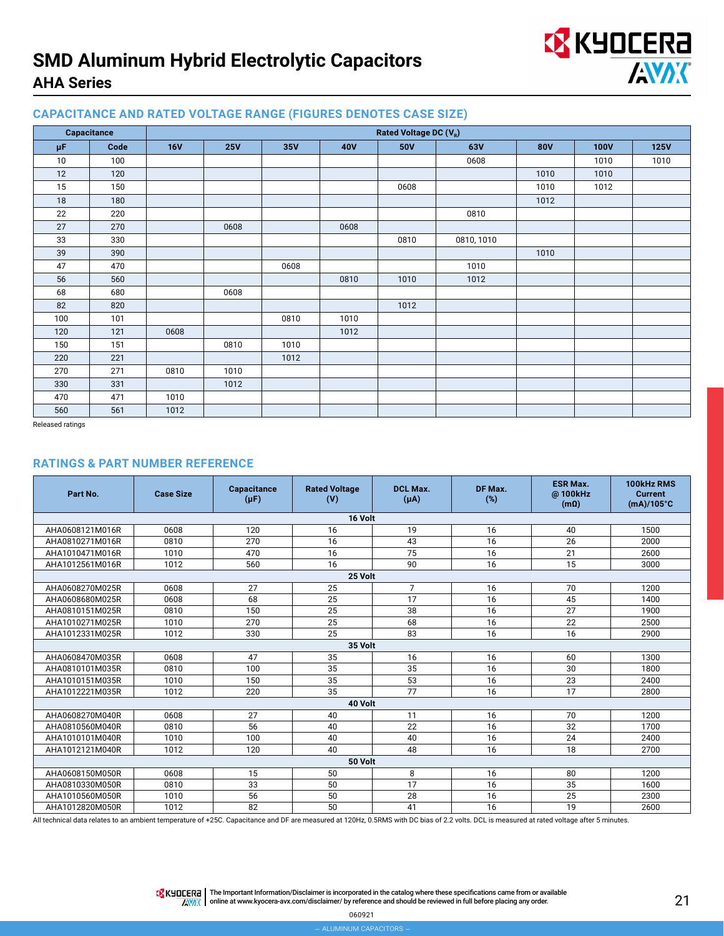

#### **CAPACITANCE AND RATED VOLTAGE RANGE (FIGURES DENOTES CASE SIZE)**

|         | Capacitance | Rated Voltage DC (V <sub>R</sub> ) |            |      |            |            |            |            |             |             |
|---------|-------------|------------------------------------|------------|------|------------|------------|------------|------------|-------------|-------------|
| $\mu$ F | Code        | <b>16V</b>                         | <b>25V</b> | 35V  | <b>40V</b> | <b>50V</b> | 63V        | <b>80V</b> | <b>100V</b> | <b>125V</b> |
| 10      | 100         |                                    |            |      |            |            | 0608       |            | 1010        | 1010        |
| 12      | 120         |                                    |            |      |            |            |            | 1010       | 1010        |             |
| 15      | 150         |                                    |            |      |            | 0608       |            | 1010       | 1012        |             |
| 18      | 180         |                                    |            |      |            |            |            | 1012       |             |             |
| 22      | 220         |                                    |            |      |            |            | 0810       |            |             |             |
| 27      | 270         |                                    | 0608       |      | 0608       |            |            |            |             |             |
| 33      | 330         |                                    |            |      |            | 0810       | 0810, 1010 |            |             |             |
| 39      | 390         |                                    |            |      |            |            |            | 1010       |             |             |
| 47      | 470         |                                    |            | 0608 |            |            | 1010       |            |             |             |
| 56      | 560         |                                    |            |      | 0810       | 1010       | 1012       |            |             |             |
| 68      | 680         |                                    | 0608       |      |            |            |            |            |             |             |
| 82      | 820         |                                    |            |      |            | 1012       |            |            |             |             |
| 100     | 101         |                                    |            | 0810 | 1010       |            |            |            |             |             |
| 120     | 121         | 0608                               |            |      | 1012       |            |            |            |             |             |
| 150     | 151         |                                    | 0810       | 1010 |            |            |            |            |             |             |
| 220     | 221         |                                    |            | 1012 |            |            |            |            |             |             |
| 270     | 271         | 0810                               | 1010       |      |            |            |            |            |             |             |
| 330     | 331         |                                    | 1012       |      |            |            |            |            |             |             |
| 470     | 471         | 1010                               |            |      |            |            |            |            |             |             |
| 560     | 561         | 1012                               |            |      |            |            |            |            |             |             |

Released ratings

#### **RATINGS & PART NUMBER REFERENCE**

| Part No.        | <b>Case Size</b> | Capacitance<br>$(\mu F)$ | <b>Rated Voltage</b><br>(V) | <b>DCL Max.</b><br>$(\mu A)$ | DF Max.<br>(%) | <b>ESR Max.</b><br>@100kHz<br>$(m\Omega)$ | 100kHz RMS<br><b>Current</b><br>$(mA)/105^{\circ}C$ |  |  |
|-----------------|------------------|--------------------------|-----------------------------|------------------------------|----------------|-------------------------------------------|-----------------------------------------------------|--|--|
|                 |                  |                          | 16 Volt                     |                              |                |                                           |                                                     |  |  |
| AHA0608121M016R | 0608             | 120                      | 16                          | 19                           | 16             | 40                                        | 1500                                                |  |  |
| AHA0810271M016R | 0810             | 270                      | 16                          | 43                           | 16             | 26                                        | 2000                                                |  |  |
| AHA1010471M016R | 1010             | 470                      | 16                          | 75                           | 16             | 21                                        | 2600                                                |  |  |
| AHA1012561M016R | 1012             | 560                      | 16                          | 90                           | 16             | 15                                        | 3000                                                |  |  |
|                 |                  |                          | 25 Volt                     |                              |                |                                           |                                                     |  |  |
| AHA0608270M025R | 0608             | 27                       | 25                          | $\overline{7}$               | 16             | 70                                        | 1200                                                |  |  |
| AHA0608680M025R | 0608             | 68                       | 25                          | 17                           | 16             | 45                                        | 1400                                                |  |  |
| AHA0810151M025R | 0810             | 150                      | 25                          | 38                           | 16             | 27                                        | 1900                                                |  |  |
| AHA1010271M025R | 1010             | 270                      | 25                          | 68                           | 16             | 22                                        | 2500                                                |  |  |
| AHA1012331M025R | 1012             | 330                      | 25                          | 83                           | 16             | 16                                        | 2900                                                |  |  |
|                 |                  |                          | 35 Volt                     |                              |                |                                           |                                                     |  |  |
| AHA0608470M035R | 0608             | 47                       | 35                          | 16                           | 16             | 60                                        | 1300                                                |  |  |
| AHA0810101M035R | 0810             | 100                      | 35                          | 35                           | 16             | 30                                        | 1800                                                |  |  |
| AHA1010151M035R | 1010             | 150                      | 35                          | 53                           | 16             | 23                                        | 2400                                                |  |  |
| AHA1012221M035R | 1012             | 220                      | 35                          | 77                           | 16             | 17                                        | 2800                                                |  |  |
|                 |                  |                          | 40 Volt                     |                              |                |                                           |                                                     |  |  |
| AHA0608270M040R | 0608             | 27                       | 40                          | 11                           | 16             | 70                                        | 1200                                                |  |  |
| AHA0810560M040R | 0810             | 56                       | 40                          | 22                           | 16             | 32                                        | 1700                                                |  |  |
| AHA1010101M040R | 1010             | 100                      | 40                          | 40                           | 16             | 24                                        | 2400                                                |  |  |
| AHA1012121M040R | 1012             | 120                      | 40                          | 48                           | 16             | 18                                        | 2700                                                |  |  |
| 50 Volt         |                  |                          |                             |                              |                |                                           |                                                     |  |  |
| AHA0608150M050R | 0608             | 15                       | 50                          | 8                            | 16             | 80                                        | 1200                                                |  |  |
| AHA0810330M050R | 0810             | 33                       | 50                          | 17                           | 16             | 35                                        | 1600                                                |  |  |
| AHA1010560M050R | 1010             | 56                       | 50                          | 28                           | 16             | 25                                        | 2300                                                |  |  |
| AHA1012820M050R | 1012             | 82                       | 50                          | 41                           | 16             | 19                                        | 2600                                                |  |  |

All technical data relates to an ambient temperature of +25C. Capacitance and DF are measured at 120Hz, 0.5RMS with DC bias of 2.2 volts. DCL is measured at rated voltage after 5 minutes.

**TA KHOLERA** The Important Information/Disclaimer is incorporated in the catalog where these specifications came from or available AVAX online at [www.kyocera-avx.com/disclaimer/](http://www.kyocera-avx.com/disclaimer/) by reference and should be reviewed in full before placing any order.

060921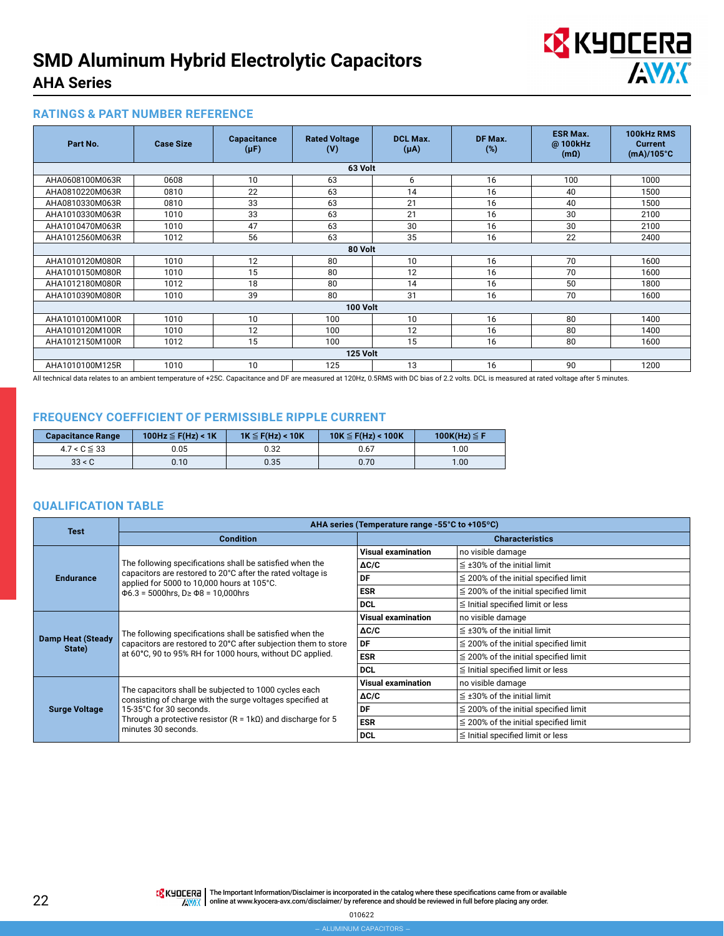

#### **RATINGS & PART NUMBER REFERENCE**

| Part No.        | <b>Case Size</b> | <b>Capacitance</b><br>$(\mu F)$ | <b>Rated Voltage</b><br>(V) | DCL Max.<br>$(\mu A)$ | DF Max.<br>(%) | <b>ESR Max.</b><br>@ 100kHz<br>$(m\Omega)$ | 100kHz RMS<br><b>Current</b><br>$(mA)/105^{\circ}C$ |  |  |  |  |
|-----------------|------------------|---------------------------------|-----------------------------|-----------------------|----------------|--------------------------------------------|-----------------------------------------------------|--|--|--|--|
| 63 Volt         |                  |                                 |                             |                       |                |                                            |                                                     |  |  |  |  |
| AHA0608100M063R | 0608             | 10                              | 63                          | 6                     | 16             | 100                                        | 1000                                                |  |  |  |  |
| AHA0810220M063R | 0810             | 22                              | 63                          | 14                    | 16             | 40                                         | 1500                                                |  |  |  |  |
| AHA0810330M063R | 0810             | 33                              | 63                          | 21                    | 16             | 40                                         | 1500                                                |  |  |  |  |
| AHA1010330M063R | 1010             | 33                              | 63                          | 21                    | 16             | 30                                         | 2100                                                |  |  |  |  |
| AHA1010470M063R | 1010             | 47                              | 63                          | 30                    | 16             | 30                                         | 2100                                                |  |  |  |  |
| AHA1012560M063R | 1012             | 56                              | 63                          | 35                    | 16             | 22                                         | 2400                                                |  |  |  |  |
|                 | 80 Volt          |                                 |                             |                       |                |                                            |                                                     |  |  |  |  |
| AHA1010120M080R | 1010             | 12                              | 80                          | 10                    | 16             | 70                                         | 1600                                                |  |  |  |  |
| AHA1010150M080R | 1010             | 15                              | 80                          | 12                    | 16             | 70                                         | 1600                                                |  |  |  |  |
| AHA1012180M080R | 1012             | 18                              | 80                          | 14                    | 16             | 50                                         | 1800                                                |  |  |  |  |
| AHA1010390M080R | 1010             | 39                              | 80                          | 31                    | 16             | 70                                         | 1600                                                |  |  |  |  |
|                 |                  |                                 | 100 Volt                    |                       |                |                                            |                                                     |  |  |  |  |
| AHA1010100M100R | 1010             | 10                              | 100                         | 10                    | 16             | 80                                         | 1400                                                |  |  |  |  |
| AHA1010120M100R | 1010             | 12                              | 100                         | 12                    | 16             | 80                                         | 1400                                                |  |  |  |  |
| AHA1012150M100R | 1012             | 15                              | 100                         | 15                    | 16             | 80                                         | 1600                                                |  |  |  |  |
|                 |                  |                                 | 125 Volt                    |                       |                |                                            |                                                     |  |  |  |  |
| AHA1010100M125R | 1010             | 10                              | 125                         | 13                    | 16             | 90                                         | 1200                                                |  |  |  |  |

All technical data relates to an ambient temperature of +25C. Capacitance and DF are measured at 120Hz, 0.5RMS with DC bias of 2.2 volts. DCL is measured at rated voltage after 5 minutes.

#### **FREQUENCY COEFFICIENT OF PERMISSIBLE RIPPLE CURRENT**

| <b>Capacitance Range</b> | 100Hz $\leq$ F(Hz) < 1K | $1K \leq F(Hz) < 10K$ | $10K \leq F(Hz) < 100K$ | 100K(Hz) $\leq$ F |
|--------------------------|-------------------------|-----------------------|-------------------------|-------------------|
| $4.7 < C \leq 33$        | 0.05                    | ა.32                  | 0.67                    | 1.00              |
| 33 < C                   | 0.10                    | 0.35                  | 0.70                    | 1.00              |

#### **QUALIFICATION TABLE**

|                                    | AHA series (Temperature range -55°C to +105°C)                                                                                                                                          |                           |                                            |  |  |  |  |
|------------------------------------|-----------------------------------------------------------------------------------------------------------------------------------------------------------------------------------------|---------------------------|--------------------------------------------|--|--|--|--|
| <b>Test</b>                        | <b>Condition</b>                                                                                                                                                                        |                           | <b>Characteristics</b>                     |  |  |  |  |
|                                    |                                                                                                                                                                                         | <b>Visual examination</b> | no visible damage                          |  |  |  |  |
|                                    | The following specifications shall be satisfied when the                                                                                                                                | ΔC/C                      | $\leq$ ±30% of the initial limit           |  |  |  |  |
| <b>Endurance</b>                   | capacitors are restored to 20°C after the rated voltage is<br>applied for 5000 to 10,000 hours at 105°C.                                                                                | DF                        | $\leq$ 200% of the initial specified limit |  |  |  |  |
|                                    | $\Phi$ 6.3 = 5000hrs, D $\geq$ $\Phi$ 8 = 10,000hrs                                                                                                                                     | <b>ESR</b>                | $\leq$ 200% of the initial specified limit |  |  |  |  |
|                                    |                                                                                                                                                                                         | <b>DCL</b>                | $\leq$ Initial specified limit or less     |  |  |  |  |
|                                    |                                                                                                                                                                                         | <b>Visual examination</b> | no visible damage                          |  |  |  |  |
|                                    | The following specifications shall be satisfied when the<br>capacitors are restored to 20°C after subjection them to store<br>at 60°C, 90 to 95% RH for 1000 hours, without DC applied. | $\Delta C/C$              | $\leq$ ±30% of the initial limit           |  |  |  |  |
| <b>Damp Heat (Steady</b><br>State) |                                                                                                                                                                                         | DF                        | $\leq$ 200% of the initial specified limit |  |  |  |  |
|                                    |                                                                                                                                                                                         | <b>ESR</b>                | $\leq$ 200% of the initial specified limit |  |  |  |  |
|                                    |                                                                                                                                                                                         | <b>DCL</b>                | $\leq$ Initial specified limit or less     |  |  |  |  |
|                                    | The capacitors shall be subjected to 1000 cycles each                                                                                                                                   | <b>Visual examination</b> | no visible damage                          |  |  |  |  |
|                                    | consisting of charge with the surge voltages specified at                                                                                                                               | $\Delta C/C$              | $\leq$ ±30% of the initial limit           |  |  |  |  |
| <b>Surge Voltage</b>               | 15-35°C for 30 seconds.                                                                                                                                                                 | DF                        | $\leq$ 200% of the initial specified limit |  |  |  |  |
|                                    | Through a protective resistor ( $R = 1k\Omega$ ) and discharge for 5<br>minutes 30 seconds.                                                                                             | <b>ESR</b>                | $\leq$ 200% of the initial specified limit |  |  |  |  |
|                                    |                                                                                                                                                                                         | <b>DCL</b>                | $\leq$ Initial specified limit or less     |  |  |  |  |

TR KUDEERA The Important Information/Disclaimer is incorporated in the catalog where these specifications came from or available **ONEXT THE AVALUAT STATE ARRANGEMENT AT A CONSIDERED A CONSIDERATION** CONSIDERED A CONSIDERED THE REVIEWED ON A CON

010622